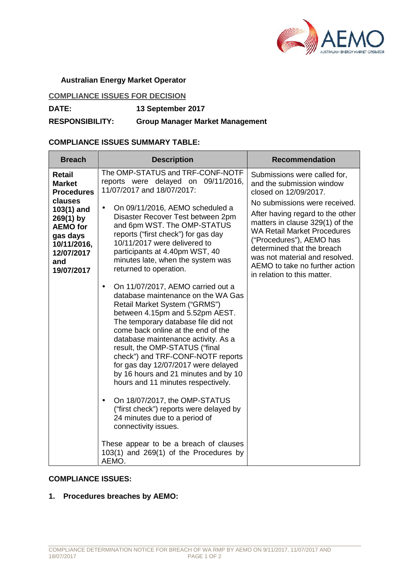

### **Australian Energy Market Operator**

# **COMPLIANCE ISSUES FOR DECISION**

**DATE: 13 September 2017**

**RESPONSIBILITY: Group Manager Market Management**

## **COMPLIANCE ISSUES SUMMARY TABLE:**

| <b>Breach</b>                                                                                                         | <b>Description</b>                                                                                                                                                                                                                                                                                                                                                                                                                                                                                                     | <b>Recommendation</b>                                                                                                                                                                                                                                                                                   |
|-----------------------------------------------------------------------------------------------------------------------|------------------------------------------------------------------------------------------------------------------------------------------------------------------------------------------------------------------------------------------------------------------------------------------------------------------------------------------------------------------------------------------------------------------------------------------------------------------------------------------------------------------------|---------------------------------------------------------------------------------------------------------------------------------------------------------------------------------------------------------------------------------------------------------------------------------------------------------|
| Retail<br><b>Market</b><br><b>Procedures</b>                                                                          | The OMP-STATUS and TRF-CONF-NOTF<br>reports were delayed on 09/11/2016,<br>11/07/2017 and 18/07/2017:                                                                                                                                                                                                                                                                                                                                                                                                                  | Submissions were called for,<br>and the submission window<br>closed on 12/09/2017.                                                                                                                                                                                                                      |
| clauses<br>103(1) and<br>$269(1)$ by<br><b>AEMO</b> for<br>gas days<br>10/11/2016,<br>12/07/2017<br>and<br>19/07/2017 | On 09/11/2016, AEMO scheduled a<br>$\bullet$<br>Disaster Recover Test between 2pm<br>and 6pm WST. The OMP-STATUS<br>reports ("first check") for gas day<br>10/11/2017 were delivered to<br>participants at 4.40pm WST, 40<br>minutes late, when the system was<br>returned to operation.                                                                                                                                                                                                                               | No submissions were received.<br>After having regard to the other<br>matters in clause 329(1) of the<br><b>WA Retail Market Procedures</b><br>("Procedures"), AEMO has<br>determined that the breach<br>was not material and resolved.<br>AEMO to take no further action<br>in relation to this matter. |
|                                                                                                                       | On 11/07/2017, AEMO carried out a<br>$\bullet$<br>database maintenance on the WA Gas<br>Retail Market System ("GRMS")<br>between 4.15pm and 5.52pm AEST.<br>The temporary database file did not<br>come back online at the end of the<br>database maintenance activity. As a<br>result, the OMP-STATUS ("final<br>check") and TRF-CONF-NOTF reports<br>for gas day 12/07/2017 were delayed<br>by 16 hours and 21 minutes and by 10<br>hours and 11 minutes respectively.<br>On 18/07/2017, the OMP-STATUS<br>$\bullet$ |                                                                                                                                                                                                                                                                                                         |
|                                                                                                                       | ("first check") reports were delayed by<br>24 minutes due to a period of<br>connectivity issues.                                                                                                                                                                                                                                                                                                                                                                                                                       |                                                                                                                                                                                                                                                                                                         |
|                                                                                                                       | These appear to be a breach of clauses<br>$103(1)$ and $269(1)$ of the Procedures by<br>AEMO.                                                                                                                                                                                                                                                                                                                                                                                                                          |                                                                                                                                                                                                                                                                                                         |

## **COMPLIANCE ISSUES:**

**1. Procedures breaches by AEMO:**